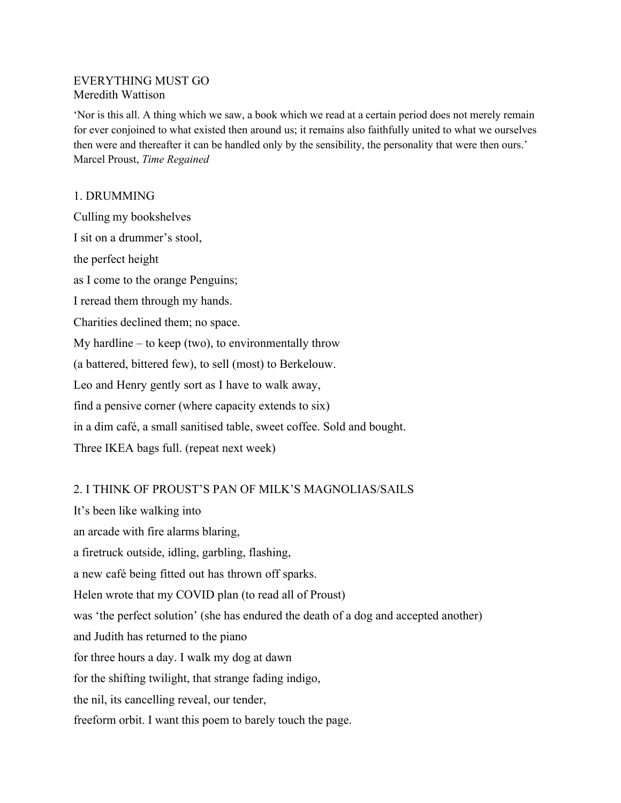## EVERYTHING MUST GO Meredith Wattison

'Nor is this all. A thing which we saw, a book which we read at a certain period does not merely remain for ever conjoined to what existed then around us; it remains also faithfully united to what we ourselves then were and thereafter it can be handled only by the sensibility, the personality that were then ours.' Marcel Proust, *Time Regained*

## 1. DRUMMING

Culling my bookshelves I sit on a drummer's stool, the perfect height as I come to the orange Penguins; I reread them through my hands. Charities declined them; no space. My hardline – to keep (two), to environmentally throw (a battered, bittered few), to sell (most) to Berkelouw. Leo and Henry gently sort as I have to walk away, find a pensive corner (where capacity extends to six) in a dim café, a small sanitised table, sweet coffee. Sold and bought. Three IKEA bags full. (repeat next week)

## 2. I THINK OF PROUST'S PAN OF MILK'S MAGNOLIAS/SAILS

It's been like walking into an arcade with fire alarms blaring, a firetruck outside, idling, garbling, flashing, a new café being fitted out has thrown off sparks. Helen wrote that my COVID plan (to read all of Proust) was 'the perfect solution' (she has endured the death of a dog and accepted another) and Judith has returned to the piano for three hours a day. I walk my dog at dawn for the shifting twilight, that strange fading indigo, the nil, its cancelling reveal, our tender, freeform orbit. I want this poem to barely touch the page.